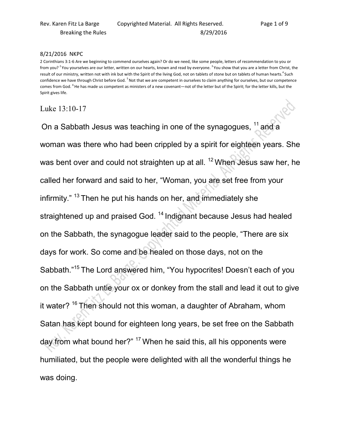## 8/21/2016 NKPC

2 Corinthians 3:1-6 Are we beginning to commend ourselves again? Or do we need, like some people, letters of recommendation to you or from you? <sup>2</sup> You yourselves are our letter, written on our hearts, known and read by everyone. <sup>3</sup> You show that you are a letter from Christ, the result of our ministry, written not with ink but with the Spirit of the living God, not on tablets of stone but on tablets of human hearts.<sup>4</sup> Such confidence we have through Christ before God. <sup>5</sup>Not that we are competent in ourselves to claim anything for ourselves, but our competence comes from God. <sup>6</sup>He has made us competent as ministers of a new covenant—not of the letter but of the Spirit; for the letter kills, but the Spirit gives life.

## Luke 13:10-17

On a Sabbath Jesus was teaching in one of the synagogues, <sup>11</sup> and a woman was there who had been crippled by a spirit for eighteen years. She was bent over and could not straighten up at all. <sup>12</sup> When Jesus saw her, he called her forward and said to her, "Woman, you are set free from your infirmity."  $13$  Then he put his hands on her, and immediately she straightened up and praised God.<sup>14</sup> Indignant because Jesus had healed on the Sabbath, the synagogue leader said to the people, "There are six days for work. So come and be healed on those days, not on the Sabbath."<sup>15</sup> The Lord answered him, "You hypocrites! Doesn't each of you on the Sabbath untie your ox or donkey from the stall and lead it out to give it water?<sup>16</sup> Then should not this woman, a daughter of Abraham, whom Satan has kept bound for eighteen long years, be set free on the Sabbath day from what bound her?" <sup>17</sup> When he said this, all his opponents were humiliated, but the people were delighted with all the wonderful things he was doing.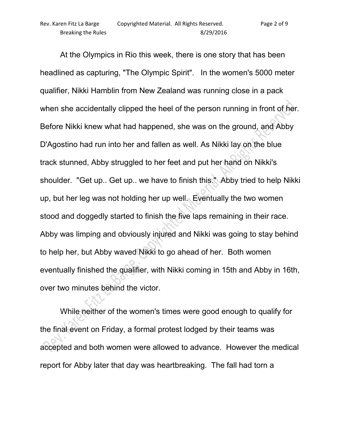At the Olympics in Rio this week, there is one story that has been headlined as capturing, "The Olympic Spirit". In the women's 5000 meter qualifier, Nikki Hamblin from New Zealand was running close in a pack when she accidentally clipped the heel of the person running in front of her. Before Nikki knew what had happened, she was on the ground, and Abby D'Agostino had run into her and fallen as well. As Nikki lay on the blue track stunned, Abby struggled to her feet and put her hand on Nikki's shoulder. "Get up.. Get up.. we have to finish this." Abby tried to help Nikki up, but her leg was not holding her up well. Eventually the two women stood and doggedly started to finish the five laps remaining in their race. Abby was limping and obviously injured and Nikki was going to stay behind to help her, but Abby waved Nikki to go ahead of her. Both women eventually finished the qualifier, with Nikki coming in 15th and Abby in 16th, over two minutes behind the victor.

 While neither of the women's times were good enough to qualify for the final event on Friday, a formal protest lodged by their teams was accepted and both women were allowed to advance. However the medical report for Abby later that day was heartbreaking. The fall had torn a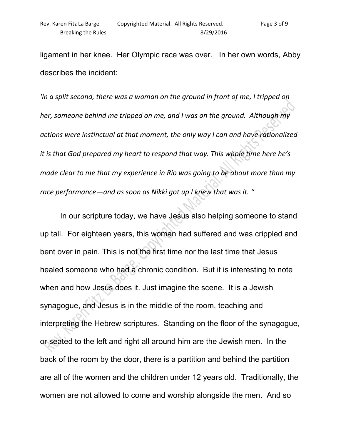ligament in her knee. Her Olympic race was over. In her own words, Abby describes the incident:

*'In a split second, there was a woman on the ground in front of me, I tripped on her, someone behind me tripped on me, and I was on the ground. Although my actions were instinctual at that moment, the only way I can and have rationalized it is that God prepared my heart to respond that way. This whole time here he's made clear to me that my experience in Rio was going to be about more than my race performance—and as soon as Nikki got up I knew that was it. "* 

In our scripture today, we have Jesus also helping someone to stand up tall. For eighteen years, this woman had suffered and was crippled and bent over in pain. This is not the first time nor the last time that Jesus healed someone who had a chronic condition. But it is interesting to note when and how Jesus does it. Just imagine the scene. It is a Jewish synagogue, and Jesus is in the middle of the room, teaching and interpreting the Hebrew scriptures. Standing on the floor of the synagogue, or seated to the left and right all around him are the Jewish men. In the back of the room by the door, there is a partition and behind the partition are all of the women and the children under 12 years old. Traditionally, the women are not allowed to come and worship alongside the men. And so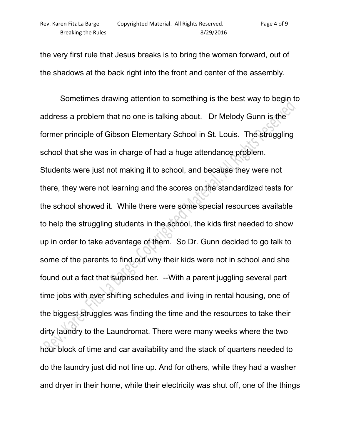the very first rule that Jesus breaks is to bring the woman forward, out of the shadows at the back right into the front and center of the assembly.

 Sometimes drawing attention to something is the best way to begin to address a problem that no one is talking about. Dr Melody Gunn is the former principle of Gibson Elementary School in St. Louis. The struggling school that she was in charge of had a huge attendance problem. Students were just not making it to school, and because they were not there, they were not learning and the scores on the standardized tests for the school showed it. While there were some special resources available to help the struggling students in the school, the kids first needed to show up in order to take advantage of them. So Dr. Gunn decided to go talk to some of the parents to find out why their kids were not in school and she found out a fact that surprised her. --With a parent juggling several part time jobs with ever shifting schedules and living in rental housing, one of the biggest struggles was finding the time and the resources to take their dirty laundry to the Laundromat. There were many weeks where the two hour block of time and car availability and the stack of quarters needed to do the laundry just did not line up. And for others, while they had a washer and dryer in their home, while their electricity was shut off, one of the things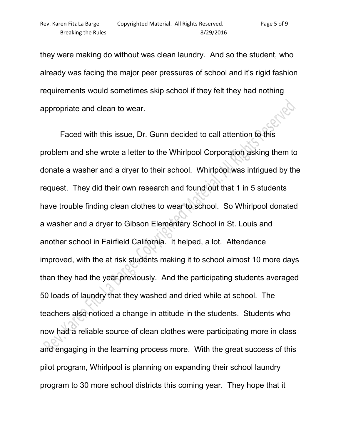they were making do without was clean laundry. And so the student, who already was facing the major peer pressures of school and it's rigid fashion requirements would sometimes skip school if they felt they had nothing **HAD** appropriate and clean to wear.

 Faced with this issue, Dr. Gunn decided to call attention to this problem and she wrote a letter to the Whirlpool Corporation asking them to donate a washer and a dryer to their school. Whirlpool was intrigued by the request. They did their own research and found out that 1 in 5 students have trouble finding clean clothes to wear to school. So Whirlpool donated a washer and a dryer to Gibson Elementary School in St. Louis and another school in Fairfield California. It helped, a lot. Attendance improved, with the at risk students making it to school almost 10 more days than they had the year previously. And the participating students averaged 50 loads of laundry that they washed and dried while at school. The teachers also noticed a change in attitude in the students. Students who now had a reliable source of clean clothes were participating more in class and engaging in the learning process more. With the great success of this pilot program, Whirlpool is planning on expanding their school laundry program to 30 more school districts this coming year. They hope that it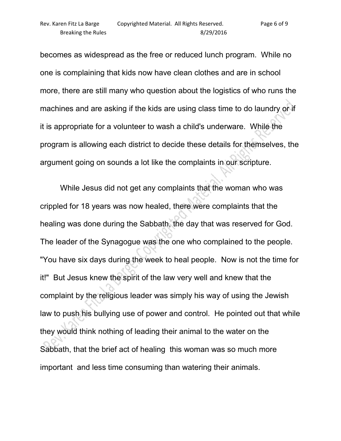becomes as widespread as the free or reduced lunch program. While no one is complaining that kids now have clean clothes and are in school more, there are still many who question about the logistics of who runs the machines and are asking if the kids are using class time to do laundry or if it is appropriate for a volunteer to wash a child's underware. While the program is allowing each district to decide these details for themselves, the argument going on sounds a lot like the complaints in our scripture.

 While Jesus did not get any complaints that the woman who was crippled for 18 years was now healed, there were complaints that the healing was done during the Sabbath, the day that was reserved for God. The leader of the Synagogue was the one who complained to the people. "You have six days during the week to heal people. Now is not the time for it!" But Jesus knew the spirit of the law very well and knew that the complaint by the religious leader was simply his way of using the Jewish law to push his bullying use of power and control. He pointed out that while they would think nothing of leading their animal to the water on the Sabbath, that the brief act of healing this woman was so much more important and less time consuming than watering their animals.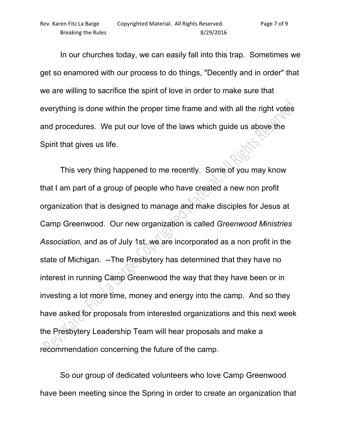In our churches today, we can easily fall into this trap. Sometimes we get so enamored with our process to do things, "Decently and in order" that we are willing to sacrifice the spirit of love in order to make sure that everything is done within the proper time frame and with all the right votes and procedures. We put our love of the laws which guide us above the Spirit that gives us life.

 This very thing happened to me recently. Some of you may know that I am part of a group of people who have created a new non profit organization that is designed to manage and make disciples for Jesus at Camp Greenwood. Our new organization is called *Greenwood Ministries Association,* and as of July 1st, we are incorporated as a non profit in the state of Michigan. --The Presbytery has determined that they have no interest in running Camp Greenwood the way that they have been or in investing a lot more time, money and energy into the camp. And so they have asked for proposals from interested organizations and this next week the Presbytery Leadership Team will hear proposals and make a recommendation concerning the future of the camp.

 So our group of dedicated volunteers who love Camp Greenwood have been meeting since the Spring in order to create an organization that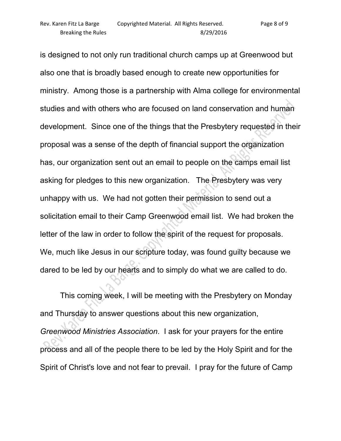is designed to not only run traditional church camps up at Greenwood but also one that is broadly based enough to create new opportunities for ministry. Among those is a partnership with Alma college for environmental studies and with others who are focused on land conservation and human development. Since one of the things that the Presbytery requested in their proposal was a sense of the depth of financial support the organization has, our organization sent out an email to people on the camps email list asking for pledges to this new organization. The Presbytery was very unhappy with us. We had not gotten their permission to send out a solicitation email to their Camp Greenwood email list. We had broken the letter of the law in order to follow the spirit of the request for proposals. We, much like Jesus in our scripture today, was found guilty because we dared to be led by our hearts and to simply do what we are called to do.

 This coming week, I will be meeting with the Presbytery on Monday and Thursday to answer questions about this new organization, *Greenwood Ministries Association*. I ask for your prayers for the entire process and all of the people there to be led by the Holy Spirit and for the Spirit of Christ's love and not fear to prevail. I pray for the future of Camp